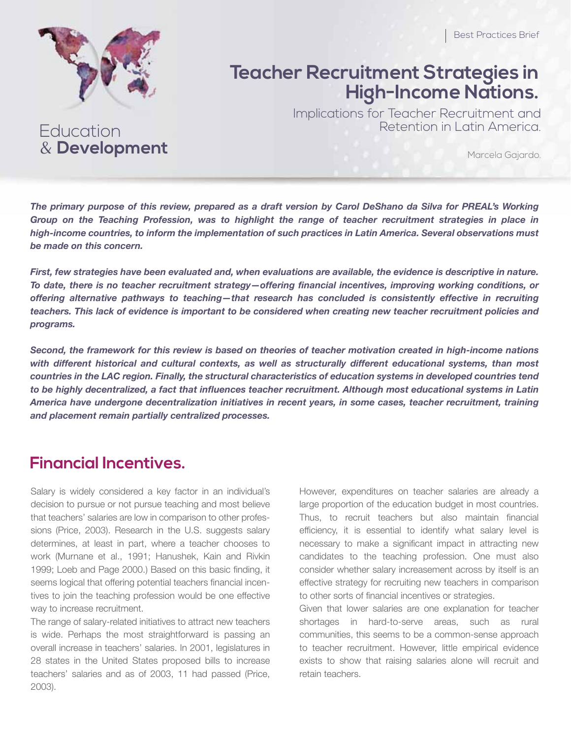& **Development** 

Education

# **Teacher Recruitment Strategies in High-Income Nations.**

Implications for Teacher Recruitment and Retention in Latin America.

Marcela Gajardo.

*The primary purpose of this review, prepared as a draft version by Carol DeShano da Silva for PREAL's Working*  Group on the Teaching Profession, was to highlight the range of teacher recruitment strategies in place in *high-income countries, to inform the implementation of such practices in Latin America. Several observations must be made on this concern.*

*First, few strategies have been evaluated and, when evaluations are available, the evidence is descriptive in nature. To date, there is no teacher recruitment strategy—offering financial incentives, improving working conditions, or offering alternative pathways to teaching—that research has concluded is consistently effective in recruiting teachers. This lack of evidence is important to be considered when creating new teacher recruitment policies and programs.*

*Second, the framework for this review is based on theories of teacher motivation created in high-income nations*  with different historical and cultural contexts, as well as structurally different educational systems, than most *countries in the LAC region. Finally, the structural characteristics of education systems in developed countries tend to be highly decentralized, a fact that influences teacher recruitment. Although most educational systems in Latin America have undergone decentralization initiatives in recent years, in some cases, teacher recruitment, training and placement remain partially centralized processes.* 

#### **Financial Incentives.**

Salary is widely considered a key factor in an individual's decision to pursue or not pursue teaching and most believe that teachers' salaries are low in comparison to other professions (Price, 2003). Research in the U.S. suggests salary determines, at least in part, where a teacher chooses to work (Murnane et al., 1991; Hanushek, Kain and Rivkin 1999; Loeb and Page 2000.) Based on this basic finding, it seems logical that offering potential teachers financial incentives to join the teaching profession would be one effective way to increase recruitment.

The range of salary-related initiatives to attract new teachers is wide. Perhaps the most straightforward is passing an overall increase in teachers' salaries. In 2001, legislatures in 28 states in the United States proposed bills to increase teachers' salaries and as of 2003, 11 had passed (Price, 2003).

However, expenditures on teacher salaries are already a large proportion of the education budget in most countries. Thus, to recruit teachers but also maintain financial efficiency, it is essential to identify what salary level is necessary to make a significant impact in attracting new candidates to the teaching profession. One must also consider whether salary increasement across by itself is an effective strategy for recruiting new teachers in comparison to other sorts of financial incentives or strategies.

Given that lower salaries are one explanation for teacher shortages in hard-to-serve areas, such as rural communities, this seems to be a common-sense approach to teacher recruitment. However, little empirical evidence exists to show that raising salaries alone will recruit and retain teachers.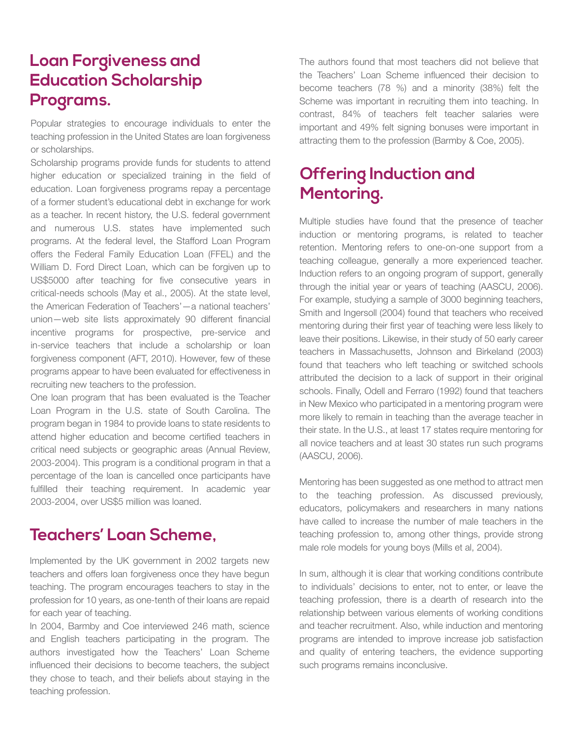## **Loan Forgiveness and Education Scholarship Programs.**

Popular strategies to encourage individuals to enter the teaching profession in the United States are loan forgiveness or scholarships.

Scholarship programs provide funds for students to attend higher education or specialized training in the field of education. Loan forgiveness programs repay a percentage of a former student's educational debt in exchange for work as a teacher. In recent history, the U.S. federal government and numerous U.S. states have implemented such programs. At the federal level, the Stafford Loan Program offers the Federal Family Education Loan (FFEL) and the William D. Ford Direct Loan, which can be forgiven up to US\$5000 after teaching for five consecutive years in critical-needs schools (May et al., 2005). At the state level, the American Federation of Teachers'—a national teachers' union—web site lists approximately 90 different financial incentive programs for prospective, pre-service and in-service teachers that include a scholarship or loan forgiveness component (AFT, 2010). However, few of these programs appear to have been evaluated for effectiveness in recruiting new teachers to the profession.

One loan program that has been evaluated is the Teacher Loan Program in the U.S. state of South Carolina. The program began in 1984 to provide loans to state residents to attend higher education and become certified teachers in critical need subjects or geographic areas (Annual Review, 2003-2004). This program is a conditional program in that a percentage of the loan is cancelled once participants have fulfilled their teaching requirement. In academic year 2003-2004, over US\$5 million was loaned.

#### **Teachers' Loan Scheme,**

Implemented by the UK government in 2002 targets new teachers and offers loan forgiveness once they have begun teaching. The program encourages teachers to stay in the profession for 10 years, as one-tenth of their loans are repaid for each year of teaching.

In 2004, Barmby and Coe interviewed 246 math, science and English teachers participating in the program. The authors investigated how the Teachers' Loan Scheme influenced their decisions to become teachers, the subject they chose to teach, and their beliefs about staying in the teaching profession.

The authors found that most teachers did not believe that the Teachers' Loan Scheme influenced their decision to become teachers (78 %) and a minority (38%) felt the Scheme was important in recruiting them into teaching. In contrast, 84% of teachers felt teacher salaries were important and 49% felt signing bonuses were important in attracting them to the profession (Barmby & Coe, 2005).

## **Offering Induction and Mentoring.**

Multiple studies have found that the presence of teacher induction or mentoring programs, is related to teacher retention. Mentoring refers to one-on-one support from a teaching colleague, generally a more experienced teacher. Induction refers to an ongoing program of support, generally through the initial year or years of teaching (AASCU, 2006). For example, studying a sample of 3000 beginning teachers, Smith and Ingersoll (2004) found that teachers who received mentoring during their first year of teaching were less likely to leave their positions. Likewise, in their study of 50 early career teachers in Massachusetts, Johnson and Birkeland (2003) found that teachers who left teaching or switched schools attributed the decision to a lack of support in their original schools. Finally, Odell and Ferraro (1992) found that teachers in New Mexico who participated in a mentoring program were more likely to remain in teaching than the average teacher in their state. In the U.S., at least 17 states require mentoring for all novice teachers and at least 30 states run such programs (AASCU, 2006).

Mentoring has been suggested as one method to attract men to the teaching profession. As discussed previously, educators, policymakers and researchers in many nations have called to increase the number of male teachers in the teaching profession to, among other things, provide strong male role models for young boys (Mills et al, 2004).

In sum, although it is clear that working conditions contribute to individuals' decisions to enter, not to enter, or leave the teaching profession, there is a dearth of research into the relationship between various elements of working conditions and teacher recruitment. Also, while induction and mentoring programs are intended to improve increase job satisfaction and quality of entering teachers, the evidence supporting such programs remains inconclusive.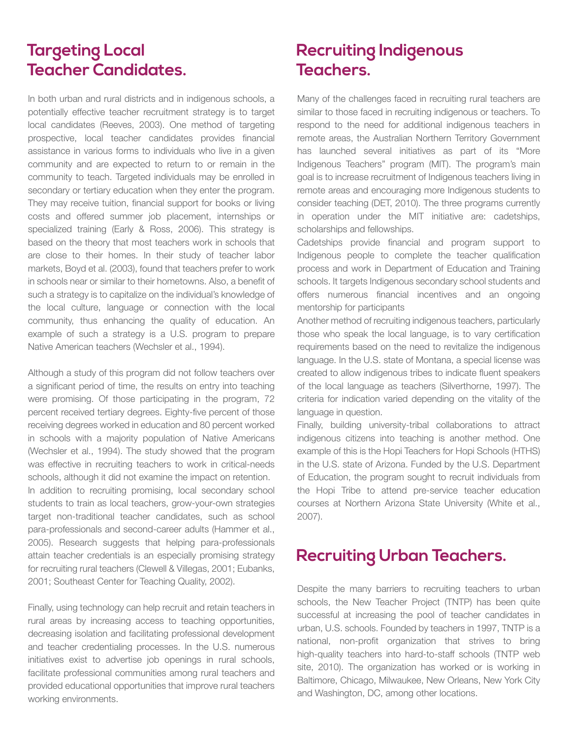### **Targeting Local Teacher Candidates.**

In both urban and rural districts and in indigenous schools, a potentially effective teacher recruitment strategy is to target local candidates (Reeves, 2003). One method of targeting prospective, local teacher candidates provides financial assistance in various forms to individuals who live in a given community and are expected to return to or remain in the community to teach. Targeted individuals may be enrolled in secondary or tertiary education when they enter the program. They may receive tuition, financial support for books or living costs and offered summer job placement, internships or specialized training (Early & Ross, 2006). This strategy is based on the theory that most teachers work in schools that are close to their homes. In their study of teacher labor markets, Boyd et al. (2003), found that teachers prefer to work in schools near or similar to their hometowns. Also, a benefit of such a strategy is to capitalize on the individual's knowledge of the local culture, language or connection with the local community, thus enhancing the quality of education. An example of such a strategy is a U.S. program to prepare Native American teachers (Wechsler et al., 1994).

Although a study of this program did not follow teachers over a significant period of time, the results on entry into teaching were promising. Of those participating in the program, 72 percent received tertiary degrees. Eighty-five percent of those receiving degrees worked in education and 80 percent worked in schools with a majority population of Native Americans (Wechsler et al., 1994). The study showed that the program was effective in recruiting teachers to work in critical-needs schools, although it did not examine the impact on retention. In addition to recruiting promising, local secondary school students to train as local teachers, grow-your-own strategies target non-traditional teacher candidates, such as school para-professionals and second-career adults (Hammer et al., 2005). Research suggests that helping para-professionals attain teacher credentials is an especially promising strategy for recruiting rural teachers (Clewell & Villegas, 2001; Eubanks, 2001; Southeast Center for Teaching Quality, 2002).

Finally, using technology can help recruit and retain teachers in rural areas by increasing access to teaching opportunities, decreasing isolation and facilitating professional development and teacher credentialing processes. In the U.S. numerous initiatives exist to advertise job openings in rural schools, facilitate professional communities among rural teachers and provided educational opportunities that improve rural teachers working environments.

### **Recruiting Indigenous Teachers.**

Many of the challenges faced in recruiting rural teachers are similar to those faced in recruiting indigenous or teachers. To respond to the need for additional indigenous teachers in remote areas, the Australian Northern Territory Government has launched several initiatives as part of its "More Indigenous Teachers" program (MIT). The program's main goal is to increase recruitment of Indigenous teachers living in remote areas and encouraging more Indigenous students to consider teaching (DET, 2010). The three programs currently in operation under the MIT initiative are: cadetships, scholarships and fellowships.

Cadetships provide financial and program support to Indigenous people to complete the teacher qualification process and work in Department of Education and Training schools. It targets Indigenous secondary school students and offers numerous financial incentives and an ongoing mentorship for participants

Another method of recruiting indigenous teachers, particularly those who speak the local language, is to vary certification requirements based on the need to revitalize the indigenous language. In the U.S. state of Montana, a special license was created to allow indigenous tribes to indicate fluent speakers of the local language as teachers (Silverthorne, 1997). The criteria for indication varied depending on the vitality of the language in question.

Finally, building university-tribal collaborations to attract indigenous citizens into teaching is another method. One example of this is the Hopi Teachers for Hopi Schools (HTHS) in the U.S. state of Arizona. Funded by the U.S. Department of Education, the program sought to recruit individuals from the Hopi Tribe to attend pre-service teacher education courses at Northern Arizona State University (White et al., 2007).

## **Recruiting Urban Teachers.**

Despite the many barriers to recruiting teachers to urban schools, the New Teacher Project (TNTP) has been quite successful at increasing the pool of teacher candidates in urban, U.S. schools. Founded by teachers in 1997, TNTP is a national, non-profit organization that strives to bring high-quality teachers into hard-to-staff schools (TNTP web site, 2010). The organization has worked or is working in Baltimore, Chicago, Milwaukee, New Orleans, New York City and Washington, DC, among other locations.